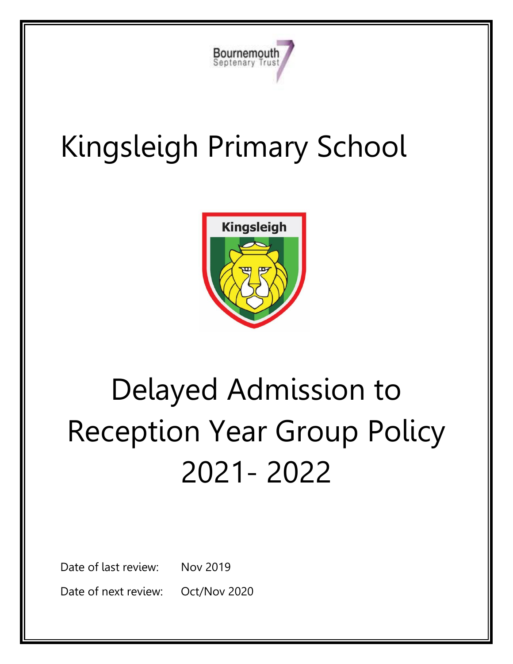

# Kingsleigh Primary School



# Delayed Admission to Reception Year Group Policy 2021- 2022

Date of last review: Nov 2019

Date of next review: Oct/Nov 2020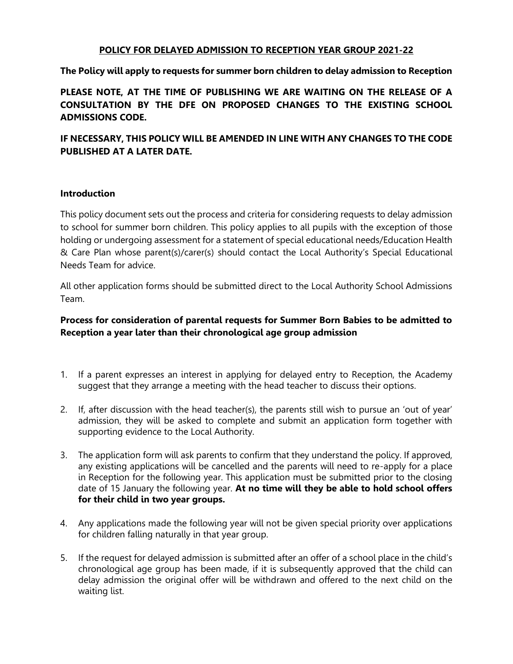#### **POLICY FOR DELAYED ADMISSION TO RECEPTION YEAR GROUP 2021-22**

#### **The Policy will apply to requests for summer born children to delay admission to Reception**

**PLEASE NOTE, AT THE TIME OF PUBLISHING WE ARE WAITING ON THE RELEASE OF A CONSULTATION BY THE DFE ON PROPOSED CHANGES TO THE EXISTING SCHOOL ADMISSIONS CODE.**

**IF NECESSARY, THIS POLICY WILL BE AMENDED IN LINE WITH ANY CHANGES TO THE CODE PUBLISHED AT A LATER DATE.** 

#### **Introduction**

This policy document sets out the process and criteria for considering requests to delay admission to school for summer born children. This policy applies to all pupils with the exception of those holding or undergoing assessment for a statement of special educational needs/Education Health & Care Plan whose parent(s)/carer(s) should contact the Local Authority's Special Educational Needs Team for advice.

All other application forms should be submitted direct to the Local Authority School Admissions Team.

### **Process for consideration of parental requests for Summer Born Babies to be admitted to Reception a year later than their chronological age group admission**

- 1. If a parent expresses an interest in applying for delayed entry to Reception, the Academy suggest that they arrange a meeting with the head teacher to discuss their options.
- 2. If, after discussion with the head teacher(s), the parents still wish to pursue an 'out of year' admission, they will be asked to complete and submit an application form together with supporting evidence to the Local Authority.
- 3. The application form will ask parents to confirm that they understand the policy. If approved, any existing applications will be cancelled and the parents will need to re-apply for a place in Reception for the following year. This application must be submitted prior to the closing date of 15 January the following year. **At no time will they be able to hold school offers for their child in two year groups.**
- 4. Any applications made the following year will not be given special priority over applications for children falling naturally in that year group.
- 5. If the request for delayed admission is submitted after an offer of a school place in the child's chronological age group has been made, if it is subsequently approved that the child can delay admission the original offer will be withdrawn and offered to the next child on the waiting list.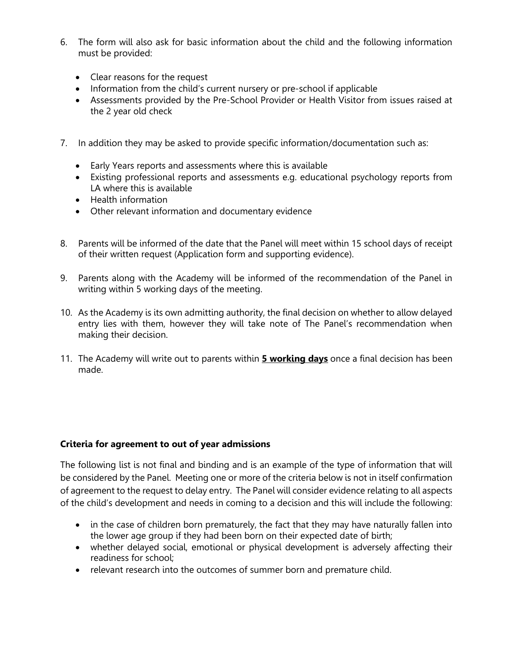- 6. The form will also ask for basic information about the child and the following information must be provided:
	- Clear reasons for the request
	- Information from the child's current nursery or pre-school if applicable
	- Assessments provided by the Pre-School Provider or Health Visitor from issues raised at the 2 year old check
- 7. In addition they may be asked to provide specific information/documentation such as:
	- Early Years reports and assessments where this is available
	- Existing professional reports and assessments e.g. educational psychology reports from LA where this is available
	- Health information
	- Other relevant information and documentary evidence
- 8. Parents will be informed of the date that the Panel will meet within 15 school days of receipt of their written request (Application form and supporting evidence).
- 9. Parents along with the Academy will be informed of the recommendation of the Panel in writing within 5 working days of the meeting.
- 10. As the Academy is its own admitting authority, the final decision on whether to allow delayed entry lies with them, however they will take note of The Panel's recommendation when making their decision.
- 11. The Academy will write out to parents within **5 working days** once a final decision has been made.

#### **Criteria for agreement to out of year admissions**

The following list is not final and binding and is an example of the type of information that will be considered by the Panel. Meeting one or more of the criteria below is not in itself confirmation of agreement to the request to delay entry. The Panel will consider evidence relating to all aspects of the child's development and needs in coming to a decision and this will include the following:

- in the case of children born prematurely, the fact that they may have naturally fallen into the lower age group if they had been born on their expected date of birth;
- whether delayed social, emotional or physical development is adversely affecting their readiness for school;
- relevant research into the outcomes of summer born and premature child.